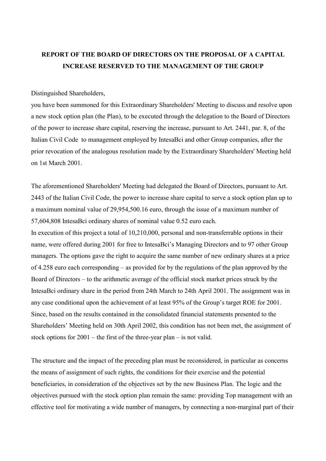# **REPORT OF THE BOARD OF DIRECTORS ON THE PROPOSAL OF A CAPITAL INCREASE RESERVED TO THE MANAGEMENT OF THE GROUP**

### Distinguished Shareholders,

you have been summoned for this Extraordinary Shareholders' Meeting to discuss and resolve upon a new stock option plan (the Plan), to be executed through the delegation to the Board of Directors of the power to increase share capital, reserving the increase, pursuant to Art. 2441, par. 8, of the Italian Civil Code to management employed by IntesaBci and other Group companies, after the prior revocation of the analogous resolution made by the Extraordinary Shareholders' Meeting held on 1st March 2001.

The aforementioned Shareholders' Meeting had delegated the Board of Directors, pursuant to Art. 2443 of the Italian Civil Code, the power to increase share capital to serve a stock option plan up to a maximum nominal value of 29,954,500.16 euro, through the issue of a maximum number of 57,604,808 IntesaBci ordinary shares of nominal value 0.52 euro each.

In execution of this project a total of 10,210,000, personal and non-transferrable options in their name, were offered during 2001 for free to IntesaBci's Managing Directors and to 97 other Group managers. The options gave the right to acquire the same number of new ordinary shares at a price of 4.258 euro each corresponding – as provided for by the regulations of the plan approved by the Board of Directors – to the arithmetic average of the official stock market prices struck by the IntesaBci ordinary share in the period from 24th March to 24th April 2001. The assignment was in any case conditional upon the achievement of at least 95% of the Group's target ROE for 2001. Since, based on the results contained in the consolidated financial statements presented to the Shareholders' Meeting held on 30th April 2002, this condition has not been met, the assignment of stock options for 2001 – the first of the three-year plan – is not valid.

The structure and the impact of the preceding plan must be reconsidered, in particular as concerns the means of assignment of such rights, the conditions for their exercise and the potential beneficiaries, in consideration of the objectives set by the new Business Plan. The logic and the objectives pursued with the stock option plan remain the same: providing Top management with an effective tool for motivating a wide number of managers, by connecting a non-marginal part of their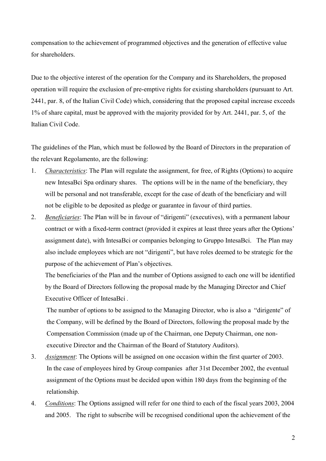compensation to the achievement of programmed objectives and the generation of effective value for shareholders.

Due to the objective interest of the operation for the Company and its Shareholders, the proposed operation will require the exclusion of pre-emptive rights for existing shareholders (pursuant to Art. 2441, par. 8, of the Italian Civil Code) which, considering that the proposed capital increase exceeds 1% of share capital, must be approved with the majority provided for by Art. 2441, par. 5, of the Italian Civil Code.

The guidelines of the Plan, which must be followed by the Board of Directors in the preparation of the relevant Regolamento, are the following:

- 1. *Characteristics*: The Plan will regulate the assignment, for free, of Rights (Options) to acquire new IntesaBci Spa ordinary shares. The options will be in the name of the beneficiary, they will be personal and not transferable, except for the case of death of the beneficiary and will not be eligible to be deposited as pledge or guarantee in favour of third parties.
- 2. *Beneficiaries*: The Plan will be in favour of "dirigenti" (executives), with a permanent labour contract or with a fixed-term contract (provided it expires at least three years after the Options' assignment date), with IntesaBci or companies belonging to Gruppo IntesaBci. The Plan may also include employees which are not "dirigenti", but have roles deemed to be strategic for the purpose of the achievement of Plan's objectives.

The beneficiaries of the Plan and the number of Options assigned to each one will be identified by the Board of Directors following the proposal made by the Managing Director and Chief Executive Officer of IntesaBci *.*

The number of options to be assigned to the Managing Director, who is also a "dirigente" of the Company, will be defined by the Board of Directors, following the proposal made by the Compensation Commission (made up of the Chairman, one Deputy Chairman, one nonexecutive Director and the Chairman of the Board of Statutory Auditors).

- 3. *Assignment*: The Options will be assigned on one occasion within the first quarter of 2003. In the case of employees hired by Group companies after 31st December 2002, the eventual assignment of the Options must be decided upon within 180 days from the beginning of the relationship.
- 4. *Conditions*: The Options assigned will refer for one third to each of the fiscal years 2003, 2004 and 2005. The right to subscribe will be recognised conditional upon the achievement of the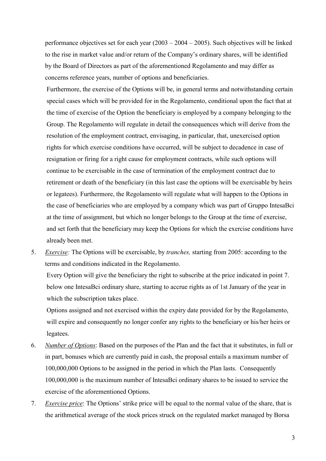performance objectives set for each year (2003 – 2004 – 2005). Such objectives will be linked to the rise in market value and/or return of the Company's ordinary shares, will be identified by the Board of Directors as part of the aforementioned Regolamento and may differ as concerns reference years, number of options and beneficiaries.

Furthermore, the exercise of the Options will be, in general terms and notwithstanding certain special cases which will be provided for in the Regolamento, conditional upon the fact that at the time of exercise of the Option the beneficiary is employed by a company belonging to the Group. The Regolamento will regulate in detail the consequences which will derive from the resolution of the employment contract, envisaging, in particular, that, unexercised option rights for which exercise conditions have occurred, will be subject to decadence in case of resignation or firing for a right cause for employment contracts, while such options will continue to be exercisable in the case of termination of the employment contract due to retirement or death of the beneficiary (in this last case the options will be exercisable by heirs or legatees). Furthermore, the Regolamento will regulate what will happen to the Options in the case of beneficiaries who are employed by a company which was part of Gruppo IntesaBci at the time of assignment, but which no longer belongs to the Group at the time of exercise, and set forth that the beneficiary may keep the Options for which the exercise conditions have already been met.

5. *Exercise:* The Options will be exercisable, by *tranches,* starting from 2005: according to the terms and conditions indicated in the Regolamento.

Every Option will give the beneficiary the right to subscribe at the price indicated in point 7. below one IntesaBci ordinary share, starting to accrue rights as of 1st January of the year in which the subscription takes place.

Options assigned and not exercised within the expiry date provided for by the Regolamento, will expire and consequently no longer confer any rights to the beneficiary or his/her heirs or legatees.

- 6. *Number of Options*: Based on the purposes of the Plan and the fact that it substitutes, in full or in part, bonuses which are currently paid in cash, the proposal entails a maximum number of 100,000,000 Options to be assigned in the period in which the Plan lasts. Consequently 100,000,000 is the maximum number of IntesaBci ordinary shares to be issued to service the exercise of the aforementioned Options.
- 7. *Exercise price*: The Options' strike price will be equal to the normal value of the share, that is the arithmetical average of the stock prices struck on the regulated market managed by Borsa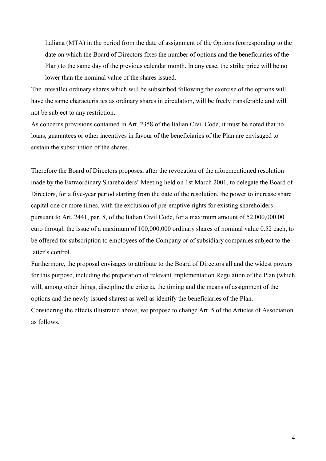Italiana (MTA) in the period from the date of assignment of the Options (corresponding to the date on which the Board of Directors fixes the number of options and the beneficiaries of the Plan) to the same day of the previous calendar month. In any case, the strike price will be no lower than the nominal value of the shares issued.

The IntesaBci ordinary shares which will be subscribed following the exercise of the options will have the same characteristics as ordinary shares in circulation, will be freely transferable and will not be subject to any restriction.

As concerns provisions contained in Art. 2358 of the Italian Civil Code, it must be noted that no loans, guarantees or other incentives in favour of the beneficiaries of the Plan are envisaged to sustain the subscription of the shares.

Therefore the Board of Directors proposes, after the revocation of the aforementioned resolution made by the Extraordinary Shareholders' Meeting held on 1st March 2001, to delegate the Board of Directors, for a five-year period starting from the date of the resolution, the power to increase share capital one or more times, with the exclusion of pre-emptive rights for existing shareholders pursuant to Art. 2441, par. 8, of the Italian Civil Code, for a maximum amount of 52,000,000.00 euro through the issue of a maximum of 100,000,000 ordinary shares of nominal value 0.52 each, to be offered for subscription to employees of the Company or of subsidiary companies subject to the latter's control.

Furthermore, the proposal envisages to attribute to the Board of Directors all and the widest powers for this purpose, including the preparation of relevant Implementation Regulation of the Plan (which will, among other things, discipline the criteria, the timing and the means of assignment of the options and the newly-issued shares) as well as identify the beneficiaries of the Plan. Considering the effects illustrated above, we propose to change Art. 5 of the Articles of Association as follows.